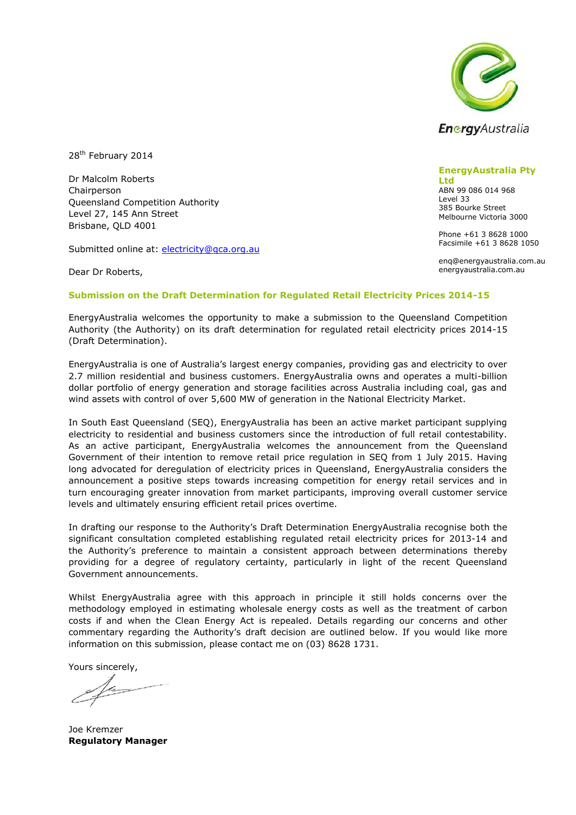

28<sup>th</sup> February 2014

Dr Malcolm Roberts Chairperson Queensland Competition Authority Level 27, 145 Ann Street Brisbane, QLD 4001

Submitted online at: [electricity@qca.org.au](mailto:electricity@qca.org.au)

Dear Dr Roberts,

#### **EnergyAustralia Pty**

**Ltd** ABN 99 086 014 968 Level 33 385 Bourke Street Melbourne Victoria 3000

Phone +61 3 8628 1000 Facsimile +61 3 8628 1050

enq@energyaustralia.com.au energyaustralia.com.au

#### **Submission on the Draft Determination for Regulated Retail Electricity Prices 2014-15**

EnergyAustralia welcomes the opportunity to make a submission to the Queensland Competition Authority (the Authority) on its draft determination for regulated retail electricity prices 2014-15 (Draft Determination).

EnergyAustralia is one of Australia's largest energy companies, providing gas and electricity to over 2.7 million residential and business customers. EnergyAustralia owns and operates a multi-billion dollar portfolio of energy generation and storage facilities across Australia including coal, gas and wind assets with control of over 5,600 MW of generation in the National Electricity Market.

In South East Queensland (SEQ), EnergyAustralia has been an active market participant supplying electricity to residential and business customers since the introduction of full retail contestability. As an active participant, EnergyAustralia welcomes the announcement from the Queensland Government of their intention to remove retail price regulation in SEQ from 1 July 2015. Having long advocated for deregulation of electricity prices in Queensland, EnergyAustralia considers the announcement a positive steps towards increasing competition for energy retail services and in turn encouraging greater innovation from market participants, improving overall customer service levels and ultimately ensuring efficient retail prices overtime.

In drafting our response to the Authority's Draft Determination EnergyAustralia recognise both the significant consultation completed establishing regulated retail electricity prices for 2013-14 and the Authority's preference to maintain a consistent approach between determinations thereby providing for a degree of regulatory certainty, particularly in light of the recent Queensland Government announcements.

Whilst EnergyAustralia agree with this approach in principle it still holds concerns over the methodology employed in estimating wholesale energy costs as well as the treatment of carbon costs if and when the Clean Energy Act is repealed. Details regarding our concerns and other commentary regarding the Authority's draft decision are outlined below. If you would like more information on this submission, please contact me on (03) 8628 1731.

Yours sincerely,

Joe Kremzer **Regulatory Manager**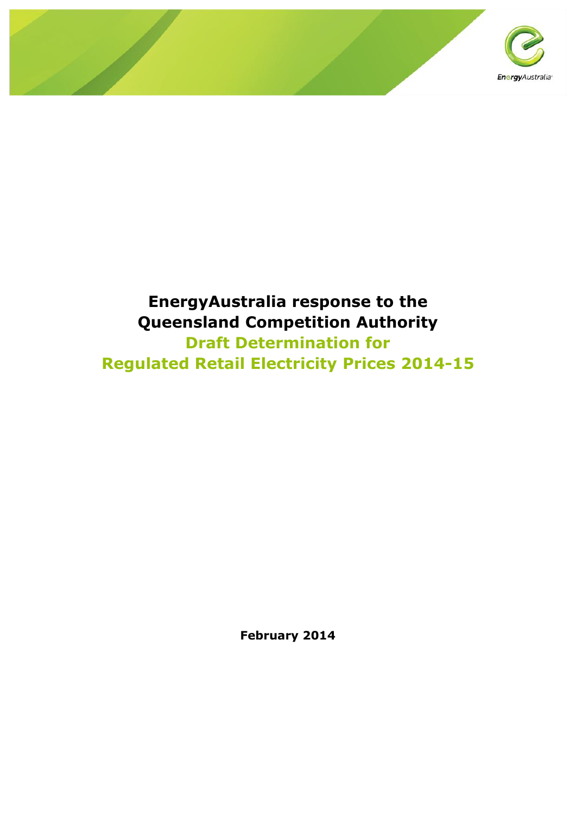

# **EnergyAustralia response to the Queensland Competition Authority Draft Determination for Regulated Retail Electricity Prices 2014-15**

**February 2014**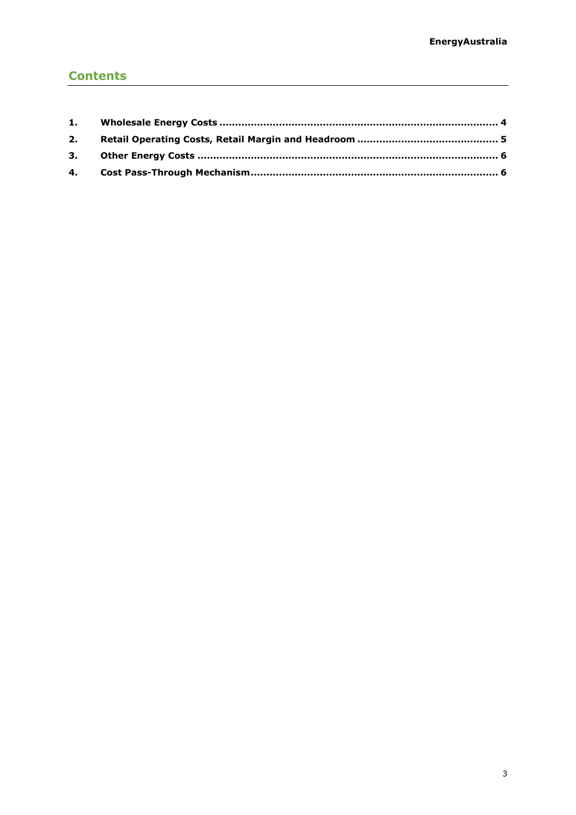# **Contents**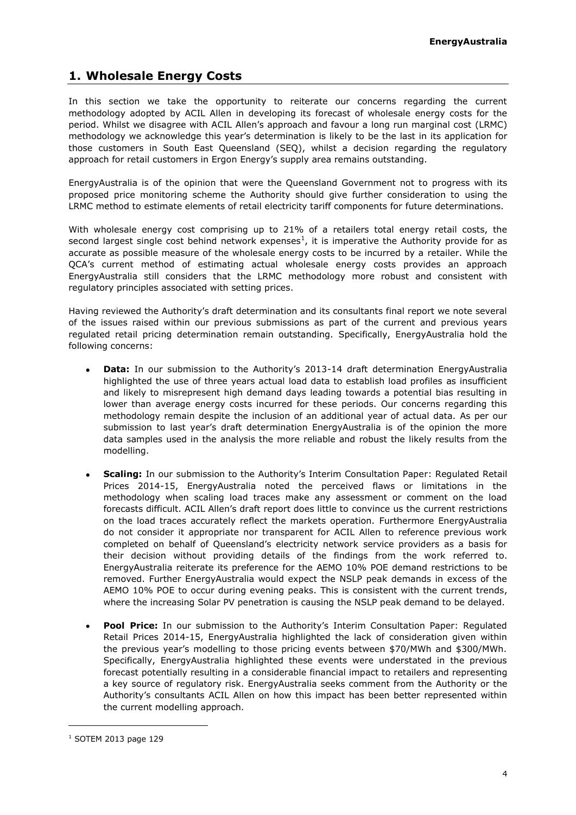## <span id="page-3-0"></span>**1. Wholesale Energy Costs**

In this section we take the opportunity to reiterate our concerns regarding the current methodology adopted by ACIL Allen in developing its forecast of wholesale energy costs for the period. Whilst we disagree with ACIL Allen's approach and favour a long run marginal cost (LRMC) methodology we acknowledge this year's determination is likely to be the last in its application for those customers in South East Queensland (SEQ), whilst a decision regarding the regulatory approach for retail customers in Ergon Energy's supply area remains outstanding.

EnergyAustralia is of the opinion that were the Queensland Government not to progress with its proposed price monitoring scheme the Authority should give further consideration to using the LRMC method to estimate elements of retail electricity tariff components for future determinations.

With wholesale energy cost comprising up to 21% of a retailers total energy retail costs, the second largest single cost behind network expenses $^1$ , it is imperative the Authority provide for as accurate as possible measure of the wholesale energy costs to be incurred by a retailer. While the QCA's current method of estimating actual wholesale energy costs provides an approach EnergyAustralia still considers that the LRMC methodology more robust and consistent with regulatory principles associated with setting prices.

Having reviewed the Authority's draft determination and its consultants final report we note several of the issues raised within our previous submissions as part of the current and previous years regulated retail pricing determination remain outstanding. Specifically, EnergyAustralia hold the following concerns:

- **Data:** In our submission to the Authority's 2013-14 draft determination EnergyAustralia highlighted the use of three years actual load data to establish load profiles as insufficient and likely to misrepresent high demand days leading towards a potential bias resulting in lower than average energy costs incurred for these periods. Our concerns regarding this methodology remain despite the inclusion of an additional year of actual data. As per our submission to last year's draft determination EnergyAustralia is of the opinion the more data samples used in the analysis the more reliable and robust the likely results from the modelling.
- **Scaling:** In our submission to the Authority's Interim Consultation Paper: Regulated Retail Prices 2014-15, EnergyAustralia noted the perceived flaws or limitations in the methodology when scaling load traces make any assessment or comment on the load forecasts difficult. ACIL Allen's draft report does little to convince us the current restrictions on the load traces accurately reflect the markets operation. Furthermore EnergyAustralia do not consider it appropriate nor transparent for ACIL Allen to reference previous work completed on behalf of Queensland's electricity network service providers as a basis for their decision without providing details of the findings from the work referred to. EnergyAustralia reiterate its preference for the AEMO 10% POE demand restrictions to be removed. Further EnergyAustralia would expect the NSLP peak demands in excess of the AEMO 10% POE to occur during evening peaks. This is consistent with the current trends, where the increasing Solar PV penetration is causing the NSLP peak demand to be delayed.
- **Pool Price:** In our submission to the Authority's Interim Consultation Paper: Regulated  $\bullet$ Retail Prices 2014-15, EnergyAustralia highlighted the lack of consideration given within the previous year's modelling to those pricing events between \$70/MWh and \$300/MWh. Specifically, EnergyAustralia highlighted these events were understated in the previous forecast potentially resulting in a considerable financial impact to retailers and representing a key source of regulatory risk. EnergyAustralia seeks comment from the Authority or the Authority's consultants ACIL Allen on how this impact has been better represented within the current modelling approach.

ł

<sup>1</sup> SOTEM 2013 page 129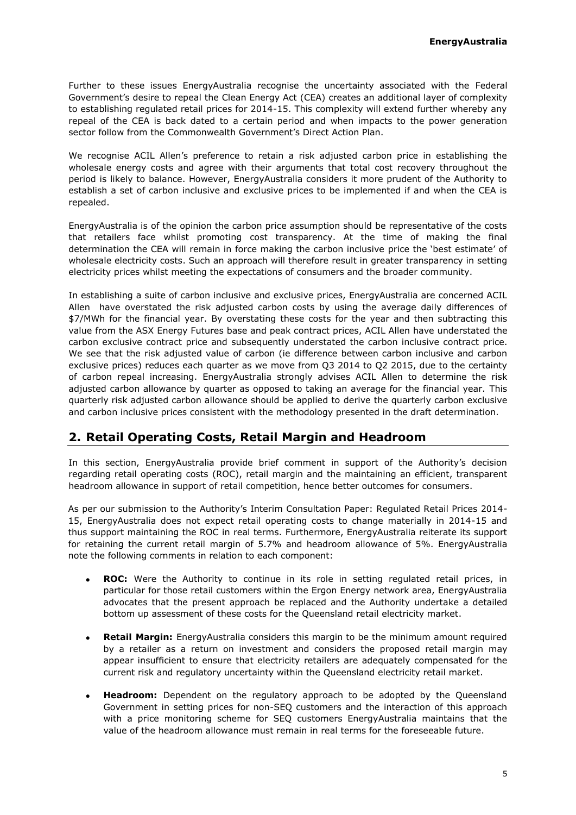Further to these issues EnergyAustralia recognise the uncertainty associated with the Federal Government's desire to repeal the Clean Energy Act (CEA) creates an additional layer of complexity to establishing regulated retail prices for 2014-15. This complexity will extend further whereby any repeal of the CEA is back dated to a certain period and when impacts to the power generation sector follow from the Commonwealth Government's Direct Action Plan.

We recognise ACIL Allen's preference to retain a risk adjusted carbon price in establishing the wholesale energy costs and agree with their arguments that total cost recovery throughout the period is likely to balance. However, EnergyAustralia considers it more prudent of the Authority to establish a set of carbon inclusive and exclusive prices to be implemented if and when the CEA is repealed.

EnergyAustralia is of the opinion the carbon price assumption should be representative of the costs that retailers face whilst promoting cost transparency. At the time of making the final determination the CEA will remain in force making the carbon inclusive price the 'best estimate' of wholesale electricity costs. Such an approach will therefore result in greater transparency in setting electricity prices whilst meeting the expectations of consumers and the broader community.

In establishing a suite of carbon inclusive and exclusive prices, EnergyAustralia are concerned ACIL Allen have overstated the risk adjusted carbon costs by using the average daily differences of \$7/MWh for the financial year. By overstating these costs for the year and then subtracting this value from the ASX Energy Futures base and peak contract prices, ACIL Allen have understated the carbon exclusive contract price and subsequently understated the carbon inclusive contract price. We see that the risk adjusted value of carbon (ie difference between carbon inclusive and carbon exclusive prices) reduces each quarter as we move from Q3 2014 to Q2 2015, due to the certainty of carbon repeal increasing. EnergyAustralia strongly advises ACIL Allen to determine the risk adjusted carbon allowance by quarter as opposed to taking an average for the financial year. This quarterly risk adjusted carbon allowance should be applied to derive the quarterly carbon exclusive and carbon inclusive prices consistent with the methodology presented in the draft determination.

## <span id="page-4-0"></span>**2. Retail Operating Costs, Retail Margin and Headroom**

In this section, EnergyAustralia provide brief comment in support of the Authority's decision regarding retail operating costs (ROC), retail margin and the maintaining an efficient, transparent headroom allowance in support of retail competition, hence better outcomes for consumers.

As per our submission to the Authority's Interim Consultation Paper: Regulated Retail Prices 2014- 15, EnergyAustralia does not expect retail operating costs to change materially in 2014-15 and thus support maintaining the ROC in real terms. Furthermore, EnergyAustralia reiterate its support for retaining the current retail margin of 5.7% and headroom allowance of 5%. EnergyAustralia note the following comments in relation to each component:

- **ROC:** Were the Authority to continue in its role in setting regulated retail prices, in particular for those retail customers within the Ergon Energy network area, EnergyAustralia advocates that the present approach be replaced and the Authority undertake a detailed bottom up assessment of these costs for the Queensland retail electricity market.
- **Retail Margin:** EnergyAustralia considers this margin to be the minimum amount required  $\bullet$ by a retailer as a return on investment and considers the proposed retail margin may appear insufficient to ensure that electricity retailers are adequately compensated for the current risk and regulatory uncertainty within the Queensland electricity retail market.
- **Headroom:** Dependent on the regulatory approach to be adopted by the Queensland Government in setting prices for non-SEQ customers and the interaction of this approach with a price monitoring scheme for SEQ customers EnergyAustralia maintains that the value of the headroom allowance must remain in real terms for the foreseeable future.